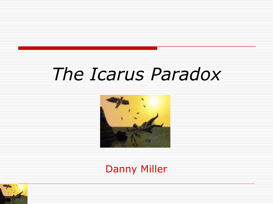## *The Icarus Paradox*



Danny Miller

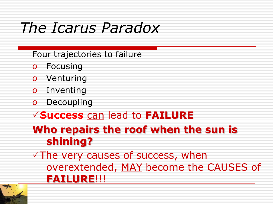### *The Icarus Paradox*

Four trajectories to failure

- o Focusing
- o Venturing
- o Inventing
- o Decoupling

#### **Success** can lead to **FAILURE**

#### **Who repairs the roof when the sun is shining?**

 $\sqrt{T}$ he very causes of success, when overextended, MAY become the CAUSES of **FAILURE**!!!

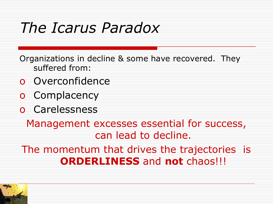### *The Icarus Paradox*

Organizations in decline & some have recovered. They suffered from:

- o Overconfidence
- o Complacency
- o Carelessness

Management excesses essential for success, can lead to decline.

The momentum that drives the trajectories is **ORDERLINESS** and **not** chaos!!!

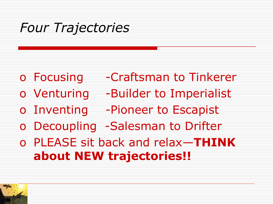### *Four Trajectories*

- o Focusing Craftsman to Tinkerer
- o Venturing -Builder to Imperialist
- o Inventing -Pioneer to Escapist
- o Decoupling -Salesman to Drifter
- o PLEASE sit back and relax—**THINK about NEW trajectories!!**

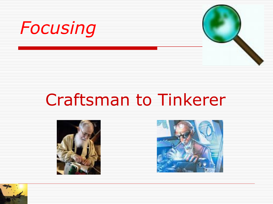



## Craftsman to Tinkerer





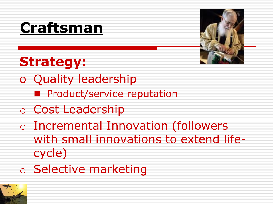## **Craftsman**



### **Strategy:**

- o Quality leadership
	- **Product/service reputation**
- o Cost Leadership
- o Incremental Innovation (followers with small innovations to extend lifecycle)
- o Selective marketing

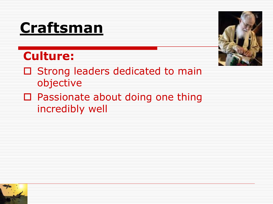### **Craftsman**

#### **Culture:**



- □ Strong leaders dedicated to main objective
- □ Passionate about doing one thing incredibly well

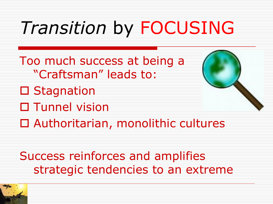## *Transition* by FOCUSING

- Too much success at being a "Craftsman" leads to:
- **□ Stagnation**
- □ Tunnel vision



Success reinforces and amplifies strategic tendencies to an extreme

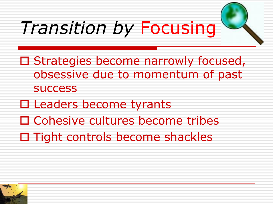## *Transition by* Focusing



- □ Cohesive cultures become tribes
- $\Box$  Tight controls become shackles

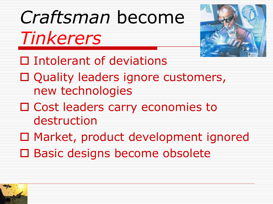# *Craftsman* become

*Tinkerers*



□ Intolerant of deviations

- □ Quality leaders ignore customers, new technologies
- □ Cost leaders carry economies to destruction
- □ Market, product development ignored
- □ Basic designs become obsolete

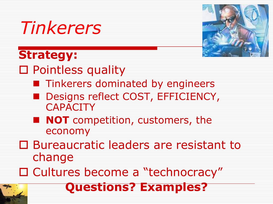

### **Strategy:**



- □ Pointless quality
	- **Tinkerers dominated by engineers**
	- Designs reflect COST, EFFICIENCY, **CAPACITY**
	- **NOT** competition, customers, the economy
- □ Bureaucratic leaders are resistant to change
- □ Cultures become a "technocracy"

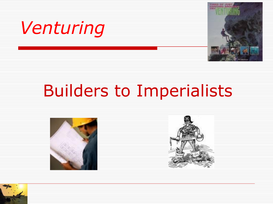



## Builders to Imperialists





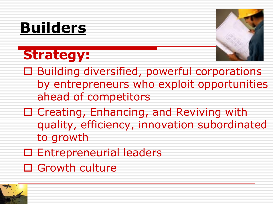## **Builders**

## **Strategy:**



- □ Building diversified, powerful corporations by entrepreneurs who exploit opportunities ahead of competitors
- □ Creating, Enhancing, and Reviving with quality, efficiency, innovation subordinated to growth
- □ Entrepreneurial leaders
- □ Growth culture

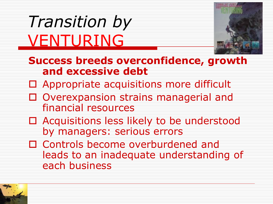## *Transition by*  VENTURING



- **Success breeds overconfidence, growth and excessive debt**
- □ Appropriate acquisitions more difficult
- □ Overexpansion strains managerial and financial resources
- □ Acquisitions less likely to be understood by managers: serious errors
- □ Controls become overburdened and leads to an inadequate understanding of each business

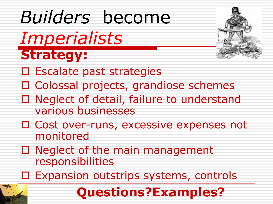### *Builders* become *Imperialists* **Strategy:**  $\square$  Escalate past strategies □ Colossal projects, grandiose schemes □ Neglect of detail, failure to understand various businesses □ Cost over-runs, excessive expenses not monitored  $\Box$  Neglect of the main management responsibilities □ Expansion outstrips systems, controls



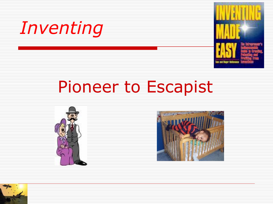



## Pioneer to Escapist





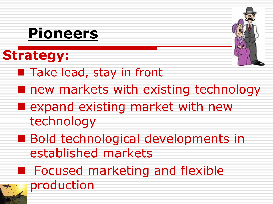## **Pioneers**

### **Strategy:**



- Take lead, stay in front
- **n** new markets with existing technology
- **E** expand existing market with new technology
- **Bold technological developments in** established markets
- **Focused marketing and flexible** production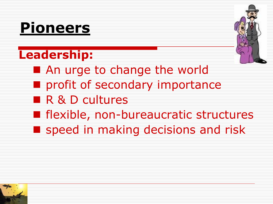## **Pioneers**

### **Leadership:**



- **An urge to change the world**
- **n** profit of secondary importance
- **R & D cultures**
- **F** flexible, non-bureaucratic structures
- **Speed in making decisions and risk**

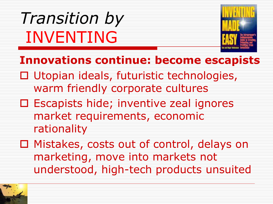*Transition by* INVENTING



#### **Innovations continue: become escapists**

- □ Utopian ideals, futuristic technologies, warm friendly corporate cultures
- □ Escapists hide; inventive zeal ignores market requirements, economic rationality
- □ Mistakes, costs out of control, delays on marketing, move into markets not understood, high-tech products unsuited

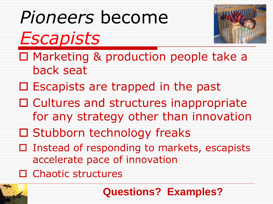## *Pioneers* become

*Escapists*



- □ Marketing & production people take a back seat
- $\Box$  Escapists are trapped in the past
- $\Box$  Cultures and structures inappropriate for any strategy other than innovation
- □ Stubborn technology freaks
- $\square$  Instead of responding to markets, escapists accelerate pace of innovation
- □ Chaotic structures



**Questions? Examples?**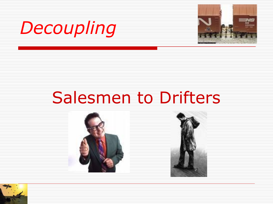



### Salesmen to Drifters



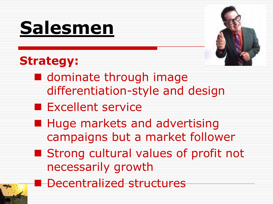## **Salesmen**



#### **Strategy:**

- **dominate through image** differentiation-style and design
- **Excellent service**
- **Huge markets and advertising** campaigns but a market follower
- **Strong cultural values of profit not** necessarily growth
- **Decentralized structures**

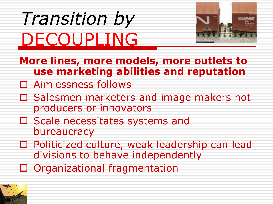## *Transition by*  DECOUPLING



- **More lines, more models, more outlets to use marketing abilities and reputation**
- □ Aimlessness follows
- □ Salesmen marketers and image makers not producers or innovators
- □ Scale necessitates systems and bureaucracy
- □ Politicized culture, weak leadership can lead divisions to behave independently
- □ Organizational fragmentation

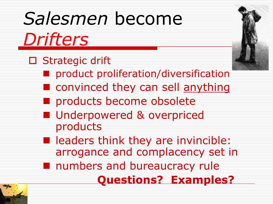## *Salesmen* become

*Drifters*

- □ Strategic drift
	- product proliferation/diversification
	- **n** convinced they can sell anything
	- products become obsolete
	- **Underpowered & overpriced** products
	- **n** leaders think they are invincible: arrogance and complacency set in
	- **numbers and bureaucracy rule** 
		- **Questions? Examples?**

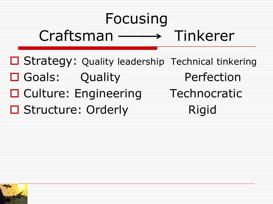## Focusing  $Craffsman \longrightarrow$  Tinkerer

- □ Strategy: Quality leadership Technical tinkering
- □ Goals: Ouality Perfection
- □ Culture: Engineering Technocratic
- □ Structure: Orderly Rigid
- 
- 

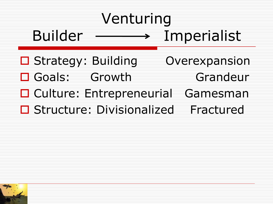## Venturing Builder Imperialist

- □ Strategy: Building Overexpansion
- □ Goals: Growth Grandeur
- □ Culture: Entrepreneurial Gamesman
- □ Structure: Divisionalized Fractured

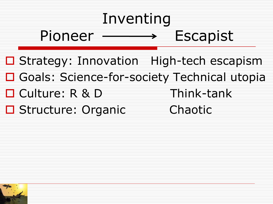## Inventing Pioneer > Escapist

- □ Strategy: Innovation High-tech escapism
- □ Goals: Science-for-society Technical utopia
- □ Culture: R & D Think-tank
- □ Structure: Organic Chaotic
- 
- 

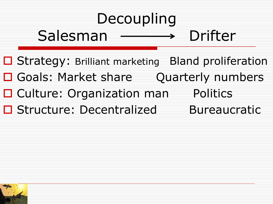## Decoupling

### $Salesman \longrightarrow Driter$

- □ Strategy: Brilliant marketing Bland proliferation
- □ Goals: Market share Quarterly numbers
- □ Culture: Organization man Politics
- □ Structure: Decentralized Bureaucratic
	-

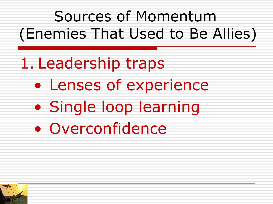Sources of Momentum (Enemies That Used to Be Allies)

1. Leadership traps • Lenses of experience • Single loop learning • Overconfidence

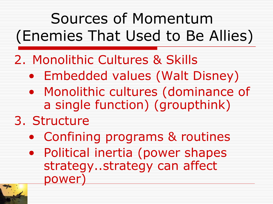## Sources of Momentum (Enemies That Used to Be Allies)

#### 2. Monolithic Cultures & Skills

- Embedded values (Walt Disney)
- Monolithic cultures (dominance of a single function) (groupthink)

#### 3. Structure

- Confining programs & routines
- Political inertia (power shapes strategy..strategy can affect power)

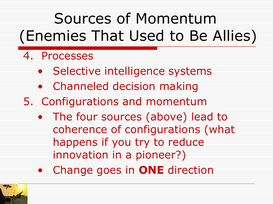## Sources of Momentum (Enemies That Used to Be Allies)

#### 4. Processes

- Selective intelligence systems
- Channeled decision making
- 5. Configurations and momentum
	- The four sources (above) lead to coherence of configurations (what happens if you try to reduce innovation in a pioneer?)
	- Change goes in **ONE** direction

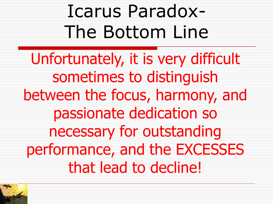## Icarus Paradox-The Bottom Line

Unfortunately, it is very difficult sometimes to distinguish between the focus, harmony, and passionate dedication so necessary for outstanding performance, and the EXCESSES that lead to decline!

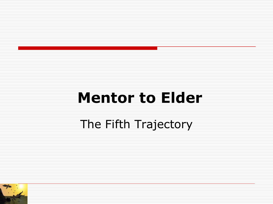## **Mentor to Elder** The Fifth Trajectory

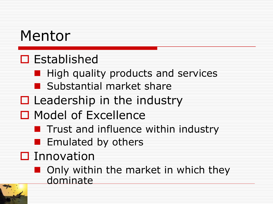### Mentor

#### $\square$  Established

- $\blacksquare$  High quality products and services
- **B** Substantial market share
- $\Box$  Leadership in the industry
- □ Model of Excellence
	- **The Trust and influence within industry**
	- **Emulated by others**
- $\square$  Innovation
	- **n** Only within the market in which they dominate

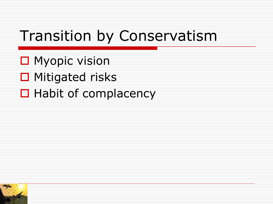### Transition by Conservatism

- **□** Myopic vision
- **□** Mitigated risks
- $\Box$  Habit of complacency